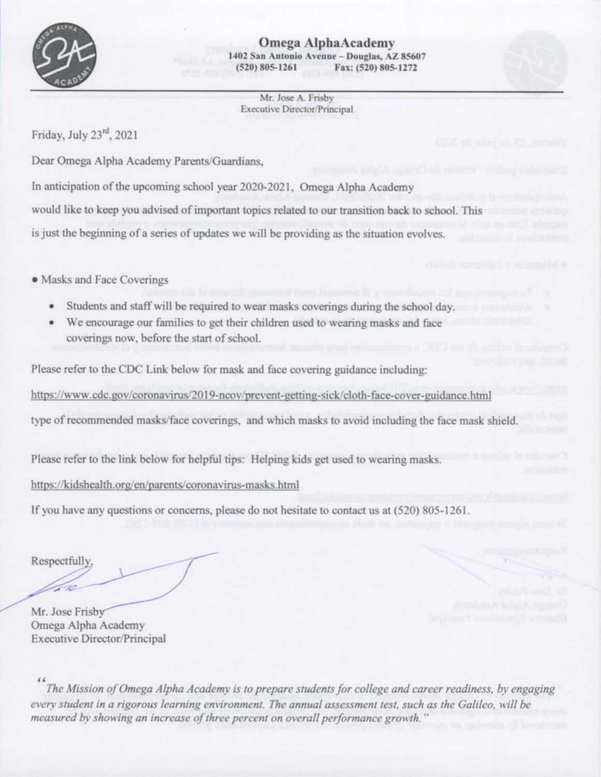

Omega AlphaAcademy 1402 San Antonio Avenue - Douglas, AZ 85607  $(520) 805 - 1261$ Fax: (520) 805-1272

Mr. Jose A. Frisby Executive Director/Principal

Friday, July 23rd, 2021

Dear Omega Alpha Academy Parents/Guardians,

In anticipation of the upcoming school year 2020-2021, Omega Alpha Academy

would like to keep you advised of important topics related to our transition back to school. This

is just the beginning of a series of updates we will be providing as the situation evolves.

• Masks and Face Coverings

- Students and staff will be required to wear masks coverings during the school day.
- We encourage our families to get their children used to wearing masks and face coverings now, before the start of school.

Please refer to the CDC Link below for mask and face covering guidance including:

https://www.cdc.gov/coronavirus/2019-ncov/prevent-getting-sick/cloth-face-cover-guidance.html

type of recommended masks/face coverings, and which masks to avoid including the face mask shield.

Please refer to the link below for helpful tips: Helping kids get used to wearing masks.

https://kidshealth.org/en/parents/coronavirus-masks.html

If you have any questions or concerns, please do not hesitate to contact us at (520) 805-1261.

Respectfully,

Mr. Jose Frisby Omega Alpha Academy **Executive Director/Principal** 

The Mission of Omega Alpha Academy is to prepare students for college and career readiness, by engaging every student in a rigorous learning environment. The annual assessment test, such as the Galileo, will be measured by showing an increase of three percent on overall performance growth."